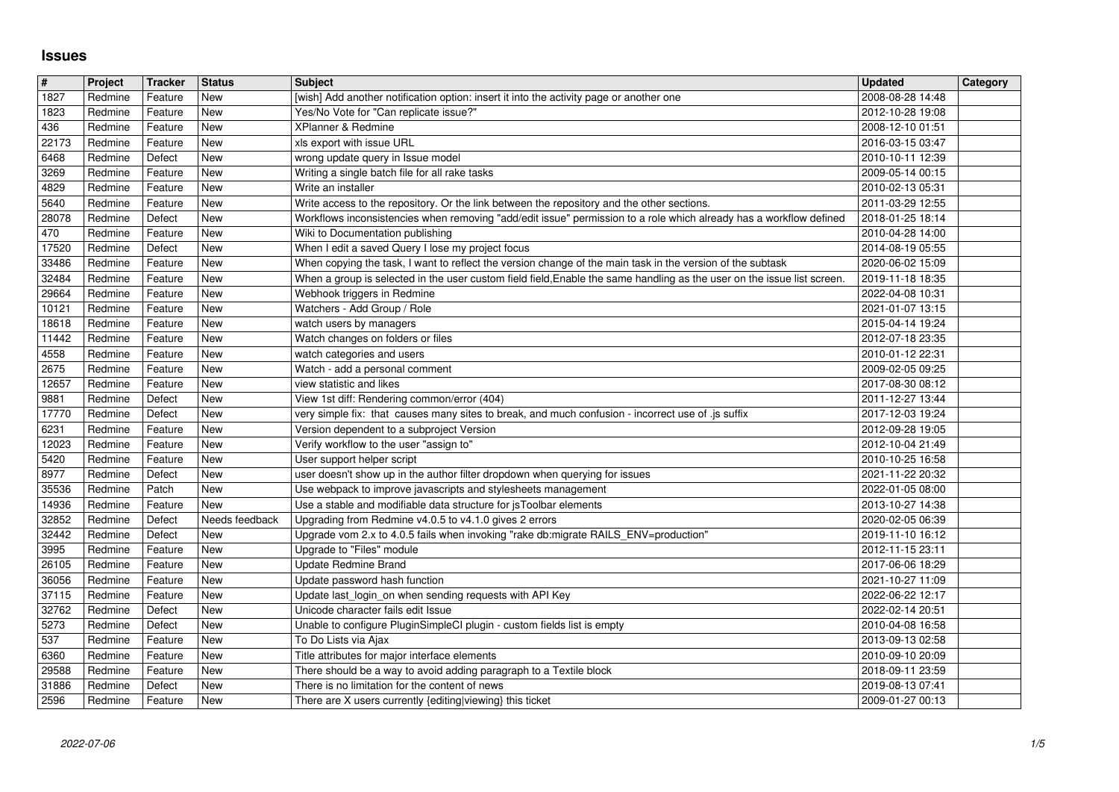## **Issues**

| $\vert$ #      | Project            | Tracker            | <b>Status</b>            | <b>Subject</b>                                                                                                                                                                                                                        | <b>Updated</b>                       | Category |
|----------------|--------------------|--------------------|--------------------------|---------------------------------------------------------------------------------------------------------------------------------------------------------------------------------------------------------------------------------------|--------------------------------------|----------|
| 1827<br>1823   | Redmine<br>Redmine | Feature<br>Feature | New<br>New               | [wish] Add another notification option: insert it into the activity page or another one<br>Yes/No Vote for "Can replicate issue?"                                                                                                     | 2008-08-28 14:48<br>2012-10-28 19:08 |          |
| 436            | Redmine            | Feature            | New                      | XPlanner & Redmine                                                                                                                                                                                                                    | 2008-12-10 01:51                     |          |
| 22173<br>6468  | Redmine<br>Redmine | Feature<br>Defect  | New<br><b>New</b>        | xls export with issue URL<br>wrong update query in Issue model                                                                                                                                                                        | 2016-03-15 03:47<br>2010-10-11 12:39 |          |
| 3269           | Redmine            | Feature            | New                      | Writing a single batch file for all rake tasks                                                                                                                                                                                        | 2009-05-14 00:15                     |          |
| 4829           | Redmine            | Feature            | <b>New</b>               | Write an installer                                                                                                                                                                                                                    | 2010-02-13 05:31                     |          |
| 5640<br>28078  | Redmine<br>Redmine | Feature<br>Defect  | <b>New</b><br>New        | Write access to the repository. Or the link between the repository and the other sections.<br>Workflows inconsistencies when removing "add/edit issue" permission to a role which already has a workflow defined                      | 2011-03-29 12:55<br>2018-01-25 18:14 |          |
| 470            | Redmine            | Feature            | <b>New</b>               | Wiki to Documentation publishing                                                                                                                                                                                                      | 2010-04-28 14:00                     |          |
| 17520          | Redmine            | Defect             | <b>New</b><br><b>New</b> | When I edit a saved Query I lose my project focus                                                                                                                                                                                     | 2014-08-19 05:55                     |          |
| 33486<br>32484 | Redmine<br>Redmine | Feature<br>Feature | <b>New</b>               | When copying the task, I want to reflect the version change of the main task in the version of the subtask<br>When a group is selected in the user custom field field, Enable the same handling as the user on the issue list screen. | 2020-06-02 15:09<br>2019-11-18 18:35 |          |
| 29664          | Redmine            | Feature            | New                      | Webhook triggers in Redmine                                                                                                                                                                                                           | 2022-04-08 10:31                     |          |
| 10121<br>18618 | Redmine<br>Redmine | Feature<br>Feature | New<br><b>New</b>        | Watchers - Add Group / Role<br>watch users by managers                                                                                                                                                                                | 2021-01-07 13:15<br>2015-04-14 19:24 |          |
| 11442          | Redmine            | Feature            | New                      | Watch changes on folders or files                                                                                                                                                                                                     | 2012-07-18 23:35                     |          |
| 4558           | Redmine            | Feature            | New                      | watch categories and users                                                                                                                                                                                                            | 2010-01-12 22:31                     |          |
| 2675<br>12657  | Redmine<br>Redmine | Feature<br>Feature | New<br><b>New</b>        | Watch - add a personal comment<br>view statistic and likes                                                                                                                                                                            | 2009-02-05 09:25<br>2017-08-30 08:12 |          |
| 9881           | Redmine            | Defect             | <b>New</b>               | View 1st diff: Rendering common/error (404)                                                                                                                                                                                           | 2011-12-27 13:44                     |          |
| 17770          | Redmine            | Defect             | <b>New</b>               | very simple fix: that causes many sites to break, and much confusion - incorrect use of .js suffix                                                                                                                                    | 2017-12-03 19:24                     |          |
| 6231<br>12023  | Redmine<br>Redmine | Feature<br>Feature | New<br>New               | Version dependent to a subproject Version<br>Verify workflow to the user "assign to"                                                                                                                                                  | 2012-09-28 19:05<br>2012-10-04 21:49 |          |
| 5420           | Redmine            | Feature            | New                      | User support helper script                                                                                                                                                                                                            | 2010-10-25 16:58                     |          |
| 8977<br>35536  | Redmine<br>Redmine | Defect<br>Patch    | New<br>New               | user doesn't show up in the author filter dropdown when querying for issues<br>Use webpack to improve javascripts and stylesheets management                                                                                          | 2021-11-22 20:32                     |          |
| 14936          | Redmine            | Feature            | New                      | Use a stable and modifiable data structure for jsToolbar elements                                                                                                                                                                     | 2022-01-05 08:00<br>2013-10-27 14:38 |          |
| 32852          | Redmine            | Defect             | Needs feedback           | Upgrading from Redmine v4.0.5 to v4.1.0 gives 2 errors                                                                                                                                                                                | 2020-02-05 06:39                     |          |
| 32442<br>3995  | Redmine<br>Redmine | Defect<br>Feature  | <b>New</b><br>New        | Upgrade vom 2.x to 4.0.5 fails when invoking "rake db:migrate RAILS_ENV=production"<br>Upgrade to "Files" module                                                                                                                      | 2019-11-10 16:12<br>2012-11-15 23:11 |          |
| 26105          | Redmine            | Feature            | New                      | Update Redmine Brand                                                                                                                                                                                                                  | 2017-06-06 18:29                     |          |
| 36056          | Redmine            | Feature            | New                      | Update password hash function                                                                                                                                                                                                         | 2021-10-27 11:09                     |          |
| 37115<br>32762 | Redmine<br>Redmine | Feature<br>Defect  | <b>New</b><br><b>New</b> | Update last_login_on when sending requests with API Key<br>Unicode character fails edit Issue                                                                                                                                         | 2022-06-22 12:17<br>2022-02-14 20:51 |          |
| 5273           | Redmine            | Defect             | New                      | Unable to configure PluginSimpleCI plugin - custom fields list is empty                                                                                                                                                               | 2010-04-08 16:58                     |          |
| 537            | Redmine            | Feature            | New                      | To Do Lists via Ajax                                                                                                                                                                                                                  | 2013-09-13 02:58                     |          |
| 6360<br>29588  | Redmine<br>Redmine | Feature<br>Feature | New<br>New               | Title attributes for major interface elements<br>There should be a way to avoid adding paragraph to a Textile block                                                                                                                   | 2010-09-10 20:09<br>2018-09-11 23:59 |          |
| 31886          | Redmine            | Defect             | New                      | There is no limitation for the content of news                                                                                                                                                                                        | 2019-08-13 07:41                     |          |
|                |                    |                    |                          |                                                                                                                                                                                                                                       |                                      |          |
|                |                    |                    |                          |                                                                                                                                                                                                                                       |                                      |          |
|                |                    |                    |                          |                                                                                                                                                                                                                                       |                                      |          |
|                |                    |                    |                          |                                                                                                                                                                                                                                       |                                      |          |
|                |                    |                    |                          |                                                                                                                                                                                                                                       |                                      |          |
|                |                    |                    |                          |                                                                                                                                                                                                                                       |                                      |          |
|                |                    |                    |                          |                                                                                                                                                                                                                                       |                                      |          |
|                |                    |                    |                          |                                                                                                                                                                                                                                       |                                      |          |
|                |                    |                    |                          |                                                                                                                                                                                                                                       |                                      |          |
|                |                    |                    |                          |                                                                                                                                                                                                                                       |                                      |          |
|                |                    |                    |                          |                                                                                                                                                                                                                                       |                                      |          |
|                |                    |                    |                          |                                                                                                                                                                                                                                       |                                      |          |
|                |                    |                    |                          |                                                                                                                                                                                                                                       |                                      |          |
|                |                    |                    |                          |                                                                                                                                                                                                                                       |                                      |          |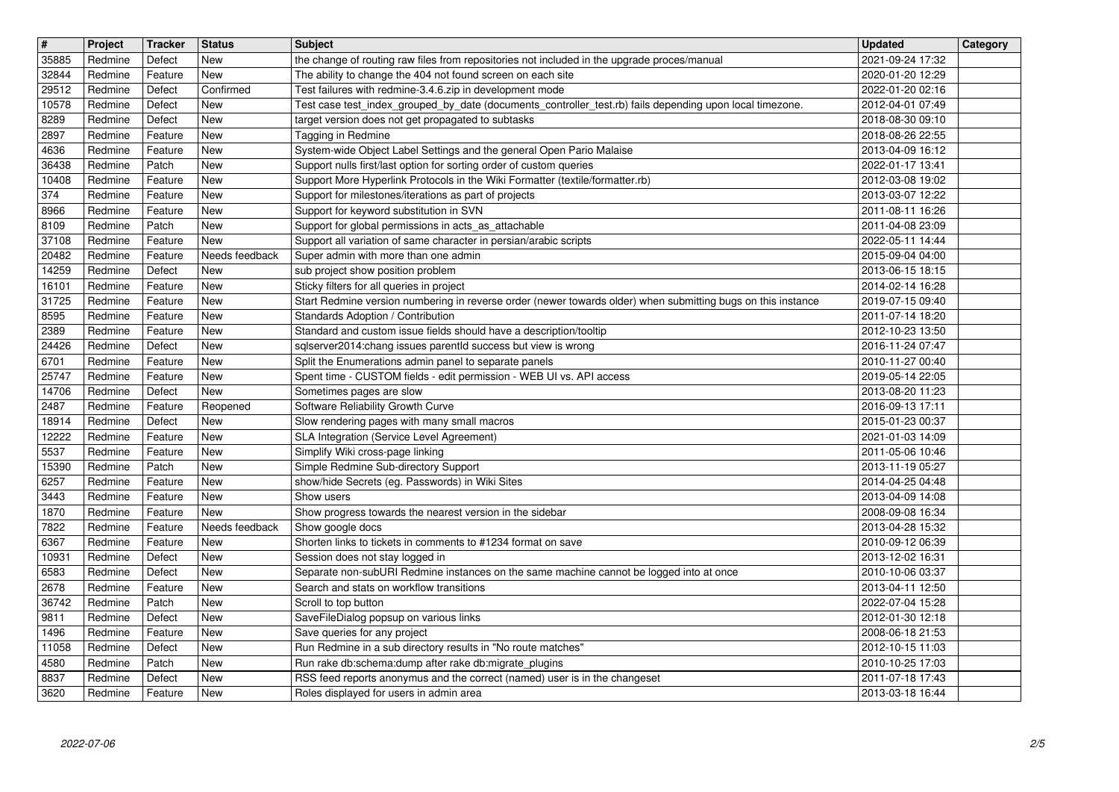| $\overline{\mathbf{H}}$ | Project            | Tracker            | <b>Status</b>            | <b>Subject</b>                                                                                                                                                       | <b>Updated</b>                       | Category |
|-------------------------|--------------------|--------------------|--------------------------|----------------------------------------------------------------------------------------------------------------------------------------------------------------------|--------------------------------------|----------|
| 35885<br>32844          | Redmine<br>Redmine | Defect<br>Feature  | New<br><b>New</b>        | the change of routing raw files from repositories not included in the upgrade proces/manual<br>The ability to change the 404 not found screen on each site           | 2021-09-24 17:32<br>2020-01-20 12:29 |          |
| 29512                   | Redmine            | Defect             | Confirmed                | Test failures with redmine-3.4.6.zip in development mode<br>Test case test_index_grouped_by_date (documents_controller_test.rb) fails depending upon local timezone. | 2022-01-20 02:16                     |          |
| 10578<br>8289           | Redmine<br>Redmine | Defect<br>Defect   | New<br>New               | target version does not get propagated to subtasks                                                                                                                   | 2012-04-01 07:49<br>2018-08-30 09:10 |          |
| 2897                    | Redmine            | Feature            | <b>New</b><br><b>New</b> | Tagging in Redmine                                                                                                                                                   | 2018-08-26 22:55                     |          |
| 4636<br>36438           | Redmine<br>Redmine | Feature<br>Patch   | <b>New</b>               | System-wide Object Label Settings and the general Open Pario Malaise<br>Support nulls first/last option for sorting order of custom queries                          | 2013-04-09 16:12<br>2022-01-17 13:41 |          |
| 10408                   | Redmine            | Feature            | New                      | Support More Hyperlink Protocols in the Wiki Formatter (textile/formatter.rb)                                                                                        | 2012-03-08 19:02                     |          |
| 374<br>8966             | Redmine<br>Redmine | Feature<br>Feature | New<br><b>New</b>        | Support for milestones/iterations as part of projects<br>Support for keyword substitution in SVN                                                                     | 2013-03-07 12:22<br>2011-08-11 16:26 |          |
| 8109                    | Redmine            | Patch              | <b>New</b>               | Support for global permissions in acts_as_attachable                                                                                                                 | 2011-04-08 23:09                     |          |
| 37108<br>20482          | Redmine<br>Redmine | Feature<br>Feature | New<br>Needs feedback    | Support all variation of same character in persian/arabic scripts<br>Super admin with more than one admin                                                            | 2022-05-11 14:44<br>2015-09-04 04:00 |          |
| 14259                   | Redmine            | Defect             | New                      | sub project show position problem                                                                                                                                    | 2013-06-15 18:15                     |          |
| 16101<br>31725          | Redmine<br>Redmine | Feature<br>Feature | New<br>New               | Sticky filters for all queries in project<br>Start Redmine version numbering in reverse order (newer towards older) when submitting bugs on this instance            | 2014-02-14 16:28<br>2019-07-15 09:40 |          |
| 8595<br>2389            | Redmine<br>Redmine | Feature            | New<br>New               | Standards Adoption / Contribution<br>Standard and custom issue fields should have a description/tooltip                                                              | 2011-07-14 18:20<br>2012-10-23 13:50 |          |
| 24426                   | Redmine            | Feature<br>Defect  | <b>New</b>               | sqlserver2014:chang issues parentld success but view is wrong                                                                                                        | 2016-11-24 07:47                     |          |
| 6701<br>25747           | Redmine<br>Redmine | Feature<br>Feature | New<br><b>New</b>        | Split the Enumerations admin panel to separate panels<br>Spent time - CUSTOM fields - edit permission - WEB UI vs. API access                                        | 2010-11-27 00:40<br>2019-05-14 22:05 |          |
| 14706                   | Redmine            | Defect             | <b>New</b>               | Sometimes pages are slow                                                                                                                                             | 2013-08-20 11:23                     |          |
| 2487<br>18914           | Redmine<br>Redmine | Feature<br>Defect  | Reopened<br>New          | Software Reliability Growth Curve<br>Slow rendering pages with many small macros                                                                                     | 2016-09-13 17:11<br>2015-01-23 00:37 |          |
| 12222                   | Redmine            | Feature            | <b>New</b>               | SLA Integration (Service Level Agreement)                                                                                                                            | 2021-01-03 14:09                     |          |
| 5537<br>15390           | Redmine<br>Redmine | Feature<br>Patch   | <b>New</b><br>New        | Simplify Wiki cross-page linking<br>Simple Redmine Sub-directory Support                                                                                             | 2011-05-06 10:46<br>2013-11-19 05:27 |          |
| 6257                    | Redmine            | Feature            | <b>New</b>               | show/hide Secrets (eg. Passwords) in Wiki Sites                                                                                                                      | 2014-04-25 04:48                     |          |
| 3443<br>1870            | Redmine<br>Redmine | Feature<br>Feature | New<br><b>New</b>        | Show users<br>Show progress towards the nearest version in the sidebar                                                                                               | 2013-04-09 14:08<br>2008-09-08 16:34 |          |
| 7822                    | Redmine            | Feature            | Needs feedback           | Show google docs                                                                                                                                                     | 2013-04-28 15:32                     |          |
| 6367<br>10931           | Redmine<br>Redmine | Feature<br>Defect  | New<br><b>New</b>        | Shorten links to tickets in comments to #1234 format on save<br>Session does not stay logged in                                                                      | 2010-09-12 06:39<br>2013-12-02 16:31 |          |
| 6583                    | Redmine            | Defect             | <b>New</b>               | Separate non-subURI Redmine instances on the same machine cannot be logged into at once                                                                              | 2010-10-06 03:37                     |          |
| 2678<br>36742           | Redmine<br>Redmine | Feature<br>Patch   | New<br>New               | Search and stats on workflow transitions<br>Scroll to top button                                                                                                     | 2013-04-11 12:50<br>2022-07-04 15:28 |          |
| 9811                    | Redmine            | Defect             | New                      | SaveFileDialog popsup on various links                                                                                                                               | 2012-01-30 12:18                     |          |
| $\sqrt{1496}$<br>11058  | Redmine<br>Redmine | Feature<br>Defect  | New<br><b>New</b>        | Save queries for any project<br>Run Redmine in a sub directory results in "No route matches"                                                                         | 2008-06-18 21:53<br>2012-10-15 11:03 |          |
| 4580<br>8837            | Redmine<br>Redmine | Patch<br>Defect    | <b>New</b><br>New        | Run rake db:schema:dump after rake db:migrate_plugins<br>RSS feed reports anonymus and the correct (named) user is in the changeset                                  | 2010-10-25 17:03<br>2011-07-18 17:43 |          |
| 3620                    | Redmine            | Feature            | New                      | Roles displayed for users in admin area                                                                                                                              | 2013-03-18 16:44                     |          |
|                         |                    |                    |                          |                                                                                                                                                                      |                                      |          |
|                         |                    |                    |                          |                                                                                                                                                                      |                                      |          |
|                         |                    |                    |                          |                                                                                                                                                                      |                                      |          |
|                         |                    |                    |                          |                                                                                                                                                                      |                                      |          |
|                         |                    |                    |                          |                                                                                                                                                                      |                                      |          |
|                         |                    |                    |                          |                                                                                                                                                                      |                                      |          |
|                         |                    |                    |                          |                                                                                                                                                                      |                                      |          |
|                         |                    |                    |                          |                                                                                                                                                                      |                                      |          |
|                         |                    |                    |                          |                                                                                                                                                                      |                                      |          |
|                         |                    |                    |                          |                                                                                                                                                                      |                                      |          |
|                         |                    |                    |                          |                                                                                                                                                                      |                                      |          |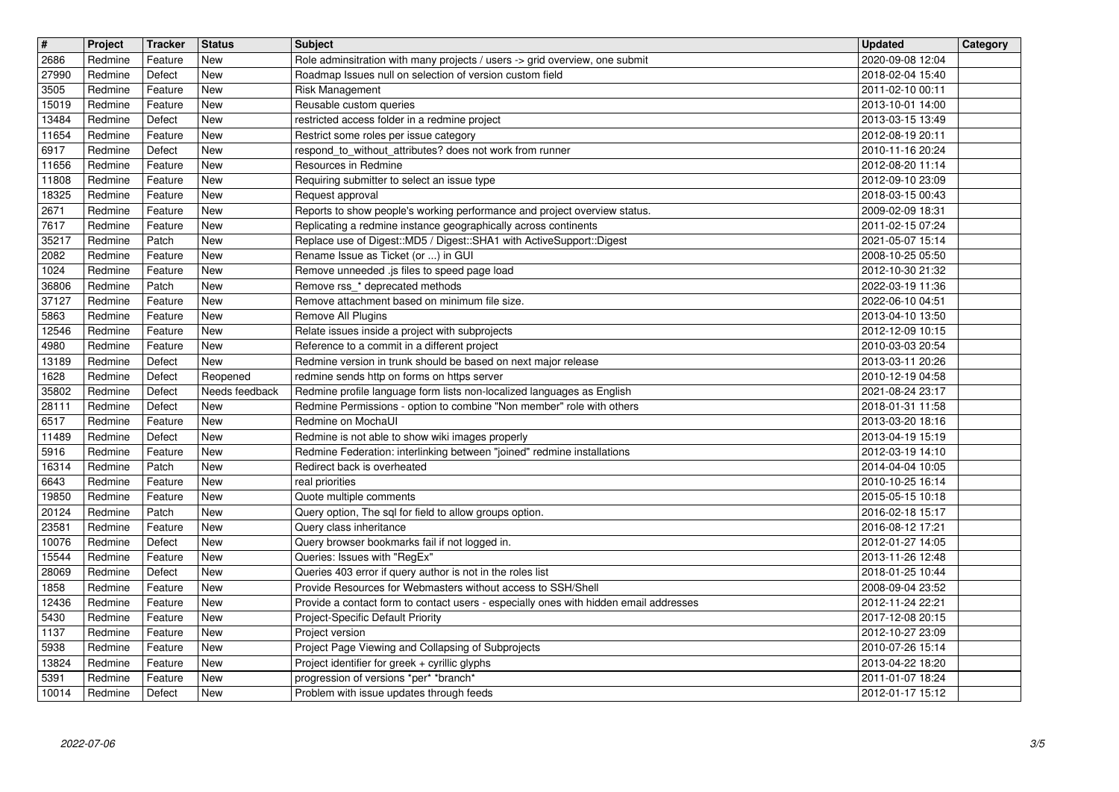| $\overline{\mathbf{H}}$ | Project | Tracker | <b>Status</b>  | <b>Subject</b>                                                                        | <b>Updated</b>   | Category |
|-------------------------|---------|---------|----------------|---------------------------------------------------------------------------------------|------------------|----------|
| 2686                    | Redmine | Feature | New            | Role adminsitration with many projects / users -> grid overview, one submit           | 2020-09-08 12:04 |          |
| 27990                   | Redmine | Defect  | <b>New</b>     | Roadmap Issues null on selection of version custom field                              | 2018-02-04 15:40 |          |
| 3505                    | Redmine | Feature | <b>New</b>     | Risk Management                                                                       | 2011-02-10 00:11 |          |
| 15019                   | Redmine | Feature | <b>New</b>     | Reusable custom queries                                                               | 2013-10-01 14:00 |          |
| 13484                   | Redmine | Defect  | <b>New</b>     | restricted access folder in a redmine project                                         | 2013-03-15 13:49 |          |
| 11654                   | Redmine | Feature | <b>New</b>     | Restrict some roles per issue category                                                | 2012-08-19 20:11 |          |
| 6917                    | Redmine | Defect  | <b>New</b>     | respond_to_without_attributes? does not work from runner                              | 2010-11-16 20:24 |          |
| 11656                   | Redmine | Feature | New            | Resources in Redmine                                                                  | 2012-08-20 11:14 |          |
| 11808                   | Redmine | Feature | New            | Requiring submitter to select an issue type                                           | 2012-09-10 23:09 |          |
| 18325                   | Redmine | Feature | <b>New</b>     | Request approval                                                                      | 2018-03-15 00:43 |          |
| 2671                    | Redmine | Feature | New            | Reports to show people's working performance and project overview status.             | 2009-02-09 18:31 |          |
| 7617                    | Redmine | Feature | New            | Replicating a redmine instance geographically across continents                       | 2011-02-15 07:24 |          |
| 35217                   | Redmine | Patch   | New            | Replace use of Digest::MD5 / Digest::SHA1 with ActiveSupport::Digest                  | 2021-05-07 15:14 |          |
| 2082                    | Redmine | Feature | New            | Rename Issue as Ticket (or ) in GUI                                                   | 2008-10-25 05:50 |          |
| 1024                    | Redmine | Feature | New            | Remove unneeded .js files to speed page load                                          | 2012-10-30 21:32 |          |
| 36806                   | Redmine | Patch   | New            | Remove rss_* deprecated methods                                                       | 2022-03-19 11:36 |          |
| 37127                   | Redmine | Feature | New            | Remove attachment based on minimum file size.                                         | 2022-06-10 04:51 |          |
| 5863                    | Redmine | Feature | New            | Remove All Plugins                                                                    | 2013-04-10 13:50 |          |
| 12546                   | Redmine | Feature | New            | Relate issues inside a project with subprojects                                       | 2012-12-09 10:15 |          |
| 4980                    | Redmine | Feature | New            | Reference to a commit in a different project                                          | 2010-03-03 20:54 |          |
| 13189                   | Redmine | Defect  | New            | Redmine version in trunk should be based on next major release                        | 2013-03-11 20:26 |          |
| 1628                    | Redmine | Defect  | Reopened       | redmine sends http on forms on https server                                           | 2010-12-19 04:58 |          |
| 35802                   | Redmine | Defect  | Needs feedback | Redmine profile language form lists non-localized languages as English                | 2021-08-24 23:17 |          |
| 28111                   | Redmine | Defect  | New            | Redmine Permissions - option to combine "Non member" role with others                 | 2018-01-31 11:58 |          |
| 6517                    | Redmine | Feature | New            | Redmine on MochaUI                                                                    | 2013-03-20 18:16 |          |
| 11489                   | Redmine | Defect  | New            | Redmine is not able to show wiki images properly                                      | 2013-04-19 15:19 |          |
| 5916                    | Redmine | Feature | New            | Redmine Federation: interlinking between "joined" redmine installations               | 2012-03-19 14:10 |          |
| 16314                   | Redmine | Patch   | <b>New</b>     | Redirect back is overheated                                                           | 2014-04-04 10:05 |          |
| 6643                    | Redmine | Feature | New            | real priorities                                                                       | 2010-10-25 16:14 |          |
| 19850                   | Redmine | Feature | New            | Quote multiple comments                                                               | 2015-05-15 10:18 |          |
| 20124                   | Redmine | Patch   | New            | Query option, The sql for field to allow groups option.                               | 2016-02-18 15:17 |          |
| 23581                   | Redmine | Feature | New            | Query class inheritance                                                               | 2016-08-12 17:21 |          |
| 10076                   | Redmine | Defect  | New            | Query browser bookmarks fail if not logged in.                                        | 2012-01-27 14:05 |          |
| 15544                   | Redmine | Feature | New            | Queries: Issues with "RegEx"                                                          | 2013-11-26 12:48 |          |
| 28069                   | Redmine | Defect  | New            | Queries 403 error if query author is not in the roles list                            | 2018-01-25 10:44 |          |
| 1858                    | Redmine | Feature | New            | Provide Resources for Webmasters without access to SSH/Shell                          | 2008-09-04 23:52 |          |
| 12436                   | Redmine | Feature | New            | Provide a contact form to contact users - especially ones with hidden email addresses | 2012-11-24 22:21 |          |
| 5430                    | Redmine | Feature | New            | Project-Specific Default Priority                                                     | 2017-12-08 20:15 |          |
| 1137                    | Redmine | Feature | New            | Project version                                                                       | 2012-10-27 23:09 |          |
| 5938                    | Redmine | Feature | New            | Project Page Viewing and Collapsing of Subprojects                                    | 2010-07-26 15:14 |          |
| 13824                   | Redmine | Feature | New            | Project identifier for greek + cyrillic glyphs                                        | 2013-04-22 18:20 |          |
| 5391                    | Redmine | Feature | New            | progression of versions *per* *branch*                                                | 2011-01-07 18:24 |          |
| 10014                   | Redmine | Defect  | New            | Problem with issue updates through feeds                                              | 2012-01-17 15:12 |          |
|                         |         |         |                |                                                                                       |                  |          |
|                         |         |         |                |                                                                                       |                  |          |
|                         |         |         |                |                                                                                       |                  |          |
|                         |         |         |                |                                                                                       |                  |          |
|                         |         |         |                |                                                                                       |                  |          |
|                         |         |         |                |                                                                                       |                  |          |
|                         |         |         |                |                                                                                       |                  |          |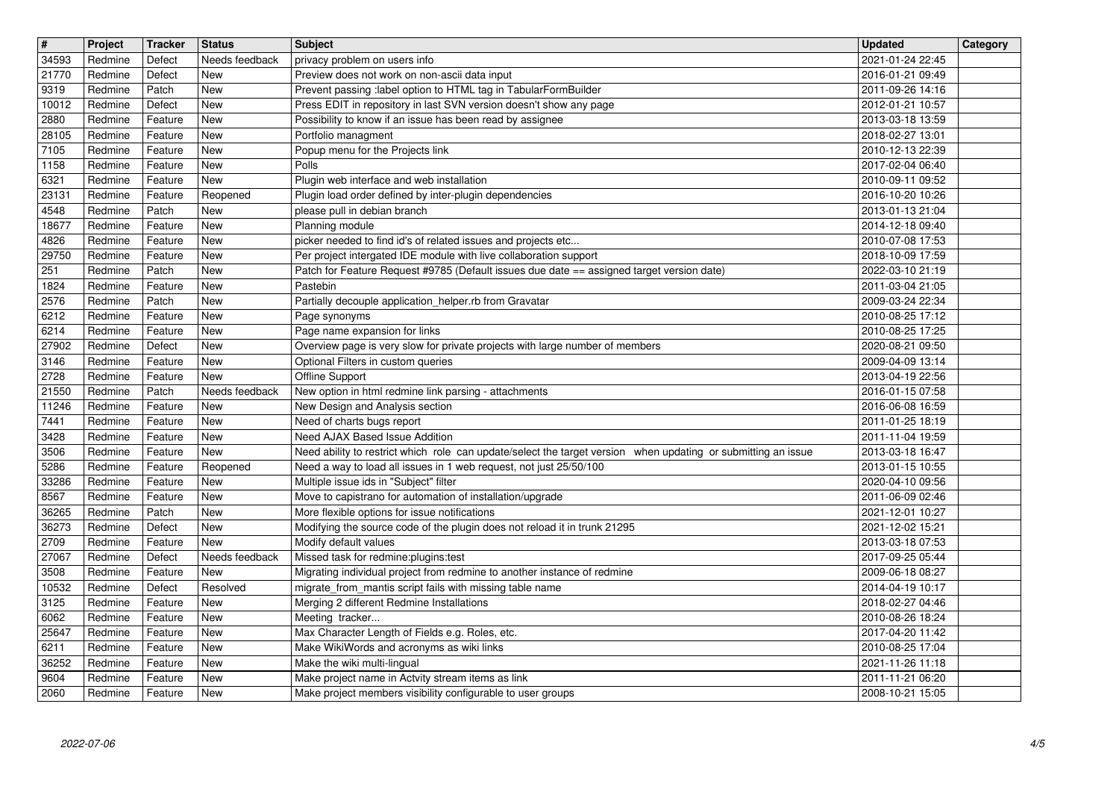| $\sqrt{t}$ | Project | <b>Tracker</b> | <b>Status</b>  | <b>Subject</b>                                                                                                | <b>Updated</b>   | Category |
|------------|---------|----------------|----------------|---------------------------------------------------------------------------------------------------------------|------------------|----------|
| 34593      | Redmine | Defect         | Needs feedback | privacy problem on users info                                                                                 | 2021-01-24 22:45 |          |
| 21770      | Redmine | Defect         | New            | Preview does not work on non-ascii data input                                                                 | 2016-01-21 09:49 |          |
| 9319       | Redmine | Patch          | New            | Prevent passing :label option to HTML tag in TabularFormBuilder                                               | 2011-09-26 14:16 |          |
| 10012      | Redmine | Defect         | New            | Press EDIT in repository in last SVN version doesn't show any page                                            | 2012-01-21 10:57 |          |
| 2880       | Redmine | Feature        | New            | Possibility to know if an issue has been read by assignee                                                     | 2013-03-18 13:59 |          |
| 28105      | Redmine | Feature        | New            | Portfolio managment                                                                                           | 2018-02-27 13:01 |          |
| 7105       | Redmine | Feature        | New            | Popup menu for the Projects link                                                                              | 2010-12-13 22:39 |          |
| 1158       | Redmine | Feature        | New            | Polls                                                                                                         | 2017-02-04 06:40 |          |
| 6321       | Redmine | Feature        | New            | Plugin web interface and web installation                                                                     | 2010-09-11 09:52 |          |
| 23131      | Redmine | Feature        | Reopened       | Plugin load order defined by inter-plugin dependencies                                                        | 2016-10-20 10:26 |          |
| 4548       | Redmine | Patch          | <b>New</b>     | please pull in debian branch                                                                                  | 2013-01-13 21:04 |          |
| 18677      | Redmine | Feature        | New            | Planning module                                                                                               | 2014-12-18 09:40 |          |
| 4826       | Redmine | Feature        | New            | picker needed to find id's of related issues and projects etc                                                 | 2010-07-08 17:53 |          |
| 29750      | Redmine | Feature        | New            | Per project intergated IDE module with live collaboration support                                             | 2018-10-09 17:59 |          |
| 251        | Redmine | Patch          | New            | Patch for Feature Request #9785 (Default issues due date == assigned target version date)                     | 2022-03-10 21:19 |          |
| 1824       | Redmine | Feature        | New            | Pastebin                                                                                                      | 2011-03-04 21:05 |          |
| 2576       | Redmine | Patch          | New            | Partially decouple application helper.rb from Gravatar                                                        | 2009-03-24 22:34 |          |
| 6212       | Redmine | Feature        | New            | Page synonyms                                                                                                 | 2010-08-25 17:12 |          |
| 6214       | Redmine | Feature        | New            | Page name expansion for links                                                                                 | 2010-08-25 17:25 |          |
| 27902      | Redmine | Defect         | <b>New</b>     | Overview page is very slow for private projects with large number of members                                  | 2020-08-21 09:50 |          |
| 3146       | Redmine | Feature        | New            | Optional Filters in custom queries                                                                            | 2009-04-09 13:14 |          |
| 2728       | Redmine | Feature        | New            | Offline Support                                                                                               | 2013-04-19 22:56 |          |
| 21550      | Redmine | Patch          | Needs feedback | New option in html redmine link parsing - attachments                                                         | 2016-01-15 07:58 |          |
| 11246      | Redmine | Feature        | New            | New Design and Analysis section                                                                               | 2016-06-08 16:59 |          |
| 7441       | Redmine | Feature        | New            | Need of charts bugs report                                                                                    | 2011-01-25 18:19 |          |
| 3428       | Redmine | Feature        | New            | Need AJAX Based Issue Addition                                                                                | 2011-11-04 19:59 |          |
| 3506       | Redmine | Feature        | New            | Need ability to restrict which role can update/select the target version when updating or submitting an issue | 2013-03-18 16:47 |          |
| 5286       | Redmine | Feature        | Reopened       | Need a way to load all issues in 1 web request, not just 25/50/100                                            | 2013-01-15 10:55 |          |
| 33286      | Redmine | Feature        | New            | Multiple issue ids in "Subject" filter                                                                        | 2020-04-10 09:56 |          |
| 8567       | Redmine | Feature        | <b>New</b>     | Move to capistrano for automation of installation/upgrade                                                     | 2011-06-09 02:46 |          |
| 36265      | Redmine | Patch          | New            | More flexible options for issue notifications                                                                 | 2021-12-01 10:27 |          |
| 36273      | Redmine | Defect         | New            | Modifying the source code of the plugin does not reload it in trunk 21295                                     | 2021-12-02 15:21 |          |
| 2709       | Redmine | Feature        | New            | Modify default values                                                                                         | 2013-03-18 07:53 |          |
| 27067      | Redmine | Defect         | Needs feedback | Missed task for redmine: plugins: test                                                                        | 2017-09-25 05:44 |          |
| 3508       | Redmine | Feature        | New            | Migrating individual project from redmine to another instance of redmine                                      | 2009-06-18 08:27 |          |
| 10532      | Redmine | Defect         | Resolved       | migrate_from_mantis script fails with missing table name                                                      | 2014-04-19 10:17 |          |
| 3125       | Redmine | Feature        | New            | Merging 2 different Redmine Installations                                                                     | 2018-02-27 04:46 |          |
| 6062       | Redmine | Feature        | New            | Meeting tracker                                                                                               | 2010-08-26 18:24 |          |
| 25647      | Redmine | Feature        | New            | Max Character Length of Fields e.g. Roles, etc.                                                               | 2017-04-20 11:42 |          |
| 6211       | Redmine | Feature        | New            | Make WikiWords and acronyms as wiki links                                                                     | 2010-08-25 17:04 |          |
| 36252      | Redmine | Feature        | New            | Make the wiki multi-lingual                                                                                   | 2021-11-26 11:18 |          |
| 9604       | Redmine | Feature        | New            | Make project name in Actvity stream items as link                                                             | 2011-11-21 06:20 |          |
| 2060       | Redmine | Feature        | New            | Make project members visibility configurable to user groups                                                   | 2008-10-21 15:05 |          |
|            |         |                |                |                                                                                                               |                  |          |
|            |         |                |                |                                                                                                               |                  |          |
|            |         |                |                |                                                                                                               |                  |          |
|            |         |                |                |                                                                                                               |                  |          |